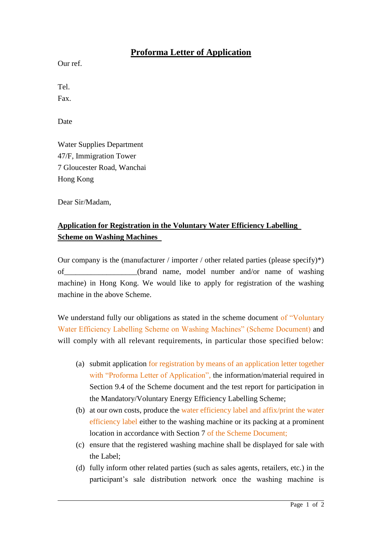## **Proforma Letter of Application**

Our ref.

Tel. Fax.

Date

Water Supplies Department 47/F, Immigration Tower 7 Gloucester Road, Wanchai Hong Kong

Dear Sir/Madam,

## **Application for Registration in the Voluntary Water Efficiency Labelling Scheme on Washing Machines**

Our company is the (manufacturer / importer / other related parties (please specify)\*) of the original of the original name, model number and/or name of washing machine) in Hong Kong. We would like to apply for registration of the washing machine in the above Scheme.

We understand fully our obligations as stated in the scheme document of "Voluntary" Water Efficiency Labelling Scheme on Washing Machines" (Scheme Document) and will comply with all relevant requirements, in particular those specified below:

- (a) submit application for registration by means of an application letter together with "Proforma Letter of Application", the information/material required in Section 9.4 of the Scheme document and the test report for participation in the Mandatory/Voluntary Energy Efficiency Labelling Scheme;
- (b) at our own costs, produce the water efficiency label and affix/print the water efficiency label either to the washing machine or its packing at a prominent location in accordance with Section 7 of the Scheme Document;
- (c) ensure that the registered washing machine shall be displayed for sale with the Label;
- (d) fully inform other related parties (such as sales agents, retailers, etc.) in the participant's sale distribution network once the washing machine is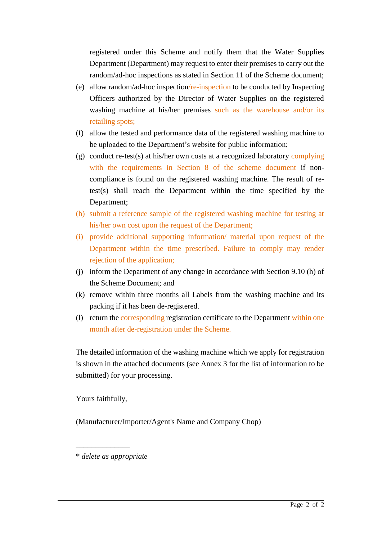registered under this Scheme and notify them that the Water Supplies Department (Department) may request to enter their premises to carry out the random/ad-hoc inspections as stated in Section 11 of the Scheme document;

- (e) allow random/ad-hoc inspection/re-inspection to be conducted by Inspecting Officers authorized by the Director of Water Supplies on the registered washing machine at his/her premises such as the warehouse and/or its retailing spots;
- (f) allow the tested and performance data of the registered washing machine to be uploaded to the Department's website for public information;
- (g) conduct re-test(s) at his/her own costs at a recognized laboratory complying with the requirements in Section 8 of the scheme document if noncompliance is found on the registered washing machine. The result of retest(s) shall reach the Department within the time specified by the Department;
- (h) submit a reference sample of the registered washing machine for testing at his/her own cost upon the request of the Department;
- (i) provide additional supporting information/ material upon request of the Department within the time prescribed. Failure to comply may render rejection of the application;
- (j) inform the Department of any change in accordance with Section 9.10 (h) of the Scheme Document; and
- (k) remove within three months all Labels from the washing machine and its packing if it has been de-registered.
- (l) return the corresponding registration certificate to the Department within one month after de-registration under the Scheme.

The detailed information of the washing machine which we apply for registration is shown in the attached documents (see Annex 3 for the list of information to be submitted) for your processing.

Yours faithfully,

(Manufacturer/Importer/Agent's Name and Company Chop)

\* *delete as appropriate*

\_\_\_\_\_\_\_\_\_\_\_\_\_\_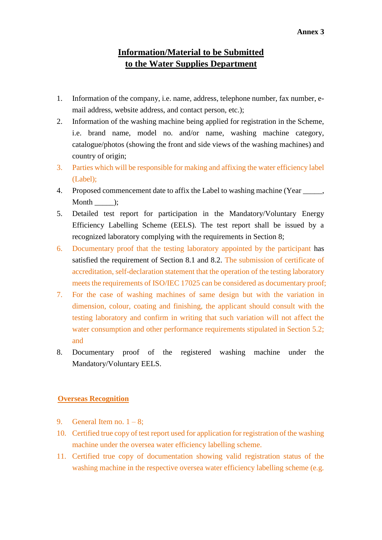## **Information/Material to be Submitted to the Water Supplies Department**

- 1. Information of the company, i.e. name, address, telephone number, fax number, email address, website address, and contact person, etc.);
- 2. Information of the washing machine being applied for registration in the Scheme, i.e. brand name, model no. and/or name, washing machine category, catalogue/photos (showing the front and side views of the washing machines) and country of origin;
- 3. Parties which will be responsible for making and affixing the water efficiency label (Label);
- 4. Proposed commencement date to affix the Label to washing machine (Year \_\_\_\_\_, Month :
- 5. Detailed test report for participation in the Mandatory/Voluntary Energy Efficiency Labelling Scheme (EELS). The test report shall be issued by a recognized laboratory complying with the requirements in Section 8;
- 6. Documentary proof that the testing laboratory appointed by the participant has satisfied the requirement of Section 8.1 and 8.2. The submission of certificate of accreditation, self-declaration statement that the operation of the testing laboratory meets the requirements of ISO/IEC 17025 can be considered as documentary proof;
- 7. For the case of washing machines of same design but with the variation in dimension, colour, coating and finishing, the applicant should consult with the testing laboratory and confirm in writing that such variation will not affect the water consumption and other performance requirements stipulated in Section 5.2; and
- 8. Documentary proof of the registered washing machine under the Mandatory/Voluntary EELS.

## **Overseas Recognition**

- 9. General Item no.  $1 8$ ;
- 10. Certified true copy of test report used for application for registration of the washing machine under the oversea water efficiency labelling scheme.
- 11. Certified true copy of documentation showing valid registration status of the washing machine in the respective oversea water efficiency labelling scheme (e.g.